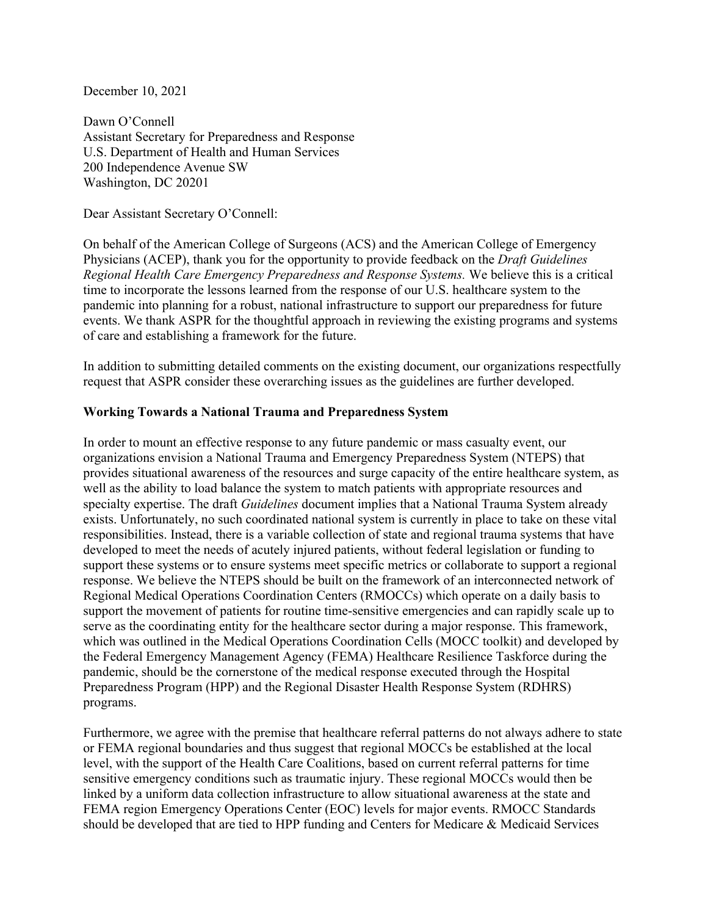December 10, 2021

Dawn O'Connell Assistant Secretary for Preparedness and Response U.S. Department of Health and Human Services 200 Independence Avenue SW Washington, DC 20201

Dear Assistant Secretary O'Connell:

On behalf of the American College of Surgeons (ACS) and the American College of Emergency Physicians (ACEP), thank you for the opportunity to provide feedback on the *Draft Guidelines Regional Health Care Emergency Preparedness and Response Systems.* We believe this is a critical time to incorporate the lessons learned from the response of our U.S. healthcare system to the pandemic into planning for a robust, national infrastructure to support our preparedness for future events. We thank ASPR for the thoughtful approach in reviewing the existing programs and systems of care and establishing a framework for the future.

In addition to submitting detailed comments on the existing document, our organizations respectfully request that ASPR consider these overarching issues as the guidelines are further developed.

## **Working Towards a National Trauma and Preparedness System**

In order to mount an effective response to any future pandemic or mass casualty event, our organizations envision a National Trauma and Emergency Preparedness System (NTEPS) that provides situational awareness of the resources and surge capacity of the entire healthcare system, as well as the ability to load balance the system to match patients with appropriate resources and specialty expertise. The draft *Guidelines* document implies that a National Trauma System already exists. Unfortunately, no such coordinated national system is currently in place to take on these vital responsibilities. Instead, there is a variable collection of state and regional trauma systems that have developed to meet the needs of acutely injured patients, without federal legislation or funding to support these systems or to ensure systems meet specific metrics or collaborate to support a regional response. We believe the NTEPS should be built on the framework of an interconnected network of Regional Medical Operations Coordination Centers (RMOCCs) which operate on a daily basis to support the movement of patients for routine time-sensitive emergencies and can rapidly scale up to serve as the coordinating entity for the healthcare sector during a major response. This framework, which was outlined in the Medical Operations Coordination Cells (MOCC toolkit) and developed by the Federal Emergency Management Agency (FEMA) Healthcare Resilience Taskforce during the pandemic, should be the cornerstone of the medical response executed through the Hospital Preparedness Program (HPP) and the Regional Disaster Health Response System (RDHRS) programs.

Furthermore, we agree with the premise that healthcare referral patterns do not always adhere to state or FEMA regional boundaries and thus suggest that regional MOCCs be established at the local level, with the support of the Health Care Coalitions, based on current referral patterns for time sensitive emergency conditions such as traumatic injury. These regional MOCCs would then be linked by a uniform data collection infrastructure to allow situational awareness at the state and FEMA region Emergency Operations Center (EOC) levels for major events. RMOCC Standards should be developed that are tied to HPP funding and Centers for Medicare & Medicaid Services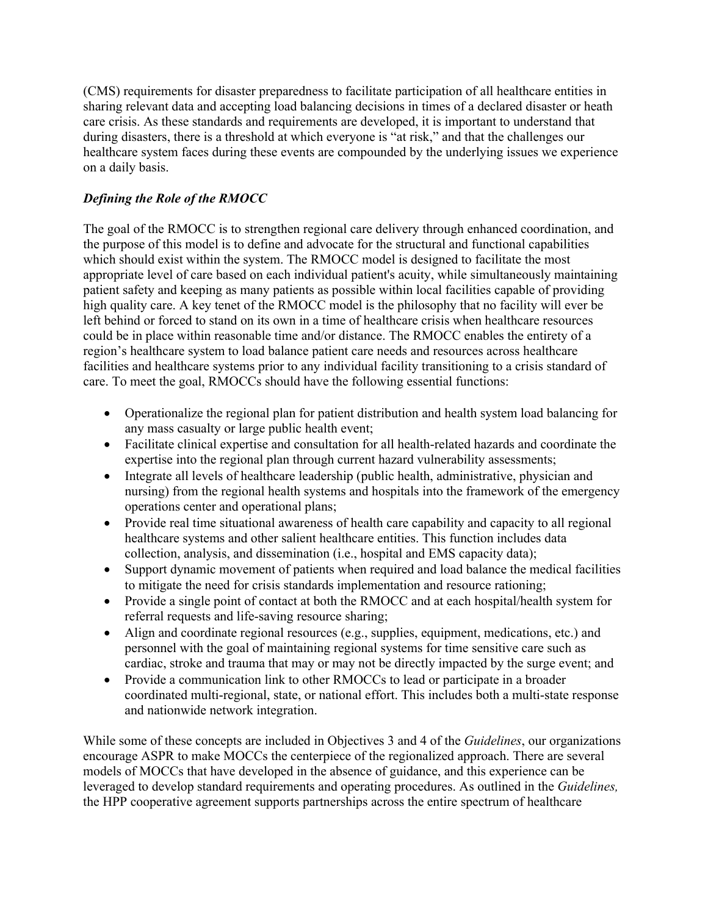(CMS) requirements for disaster preparedness to facilitate participation of all healthcare entities in sharing relevant data and accepting load balancing decisions in times of a declared disaster or heath care crisis. As these standards and requirements are developed, it is important to understand that during disasters, there is a threshold at which everyone is "at risk," and that the challenges our healthcare system faces during these events are compounded by the underlying issues we experience on a daily basis.

## *Defining the Role of the RMOCC*

The goal of the RMOCC is to strengthen regional care delivery through enhanced coordination, and the purpose of this model is to define and advocate for the structural and functional capabilities which should exist within the system. The RMOCC model is designed to facilitate the most appropriate level of care based on each individual patient's acuity, while simultaneously maintaining patient safety and keeping as many patients as possible within local facilities capable of providing high quality care. A key tenet of the RMOCC model is the philosophy that no facility will ever be left behind or forced to stand on its own in a time of healthcare crisis when healthcare resources could be in place within reasonable time and/or distance. The RMOCC enables the entirety of a region's healthcare system to load balance patient care needs and resources across healthcare facilities and healthcare systems prior to any individual facility transitioning to a crisis standard of care. To meet the goal, RMOCCs should have the following essential functions:

- Operationalize the regional plan for patient distribution and health system load balancing for any mass casualty or large public health event;
- Facilitate clinical expertise and consultation for all health-related hazards and coordinate the expertise into the regional plan through current hazard vulnerability assessments;
- Integrate all levels of healthcare leadership (public health, administrative, physician and nursing) from the regional health systems and hospitals into the framework of the emergency operations center and operational plans;
- Provide real time situational awareness of health care capability and capacity to all regional healthcare systems and other salient healthcare entities. This function includes data collection, analysis, and dissemination (i.e., hospital and EMS capacity data);
- Support dynamic movement of patients when required and load balance the medical facilities to mitigate the need for crisis standards implementation and resource rationing;
- Provide a single point of contact at both the RMOCC and at each hospital/health system for referral requests and life-saving resource sharing;
- Align and coordinate regional resources (e.g., supplies, equipment, medications, etc.) and personnel with the goal of maintaining regional systems for time sensitive care such as cardiac, stroke and trauma that may or may not be directly impacted by the surge event; and
- Provide a communication link to other RMOCCs to lead or participate in a broader coordinated multi-regional, state, or national effort. This includes both a multi-state response and nationwide network integration.

While some of these concepts are included in Objectives 3 and 4 of the *Guidelines*, our organizations encourage ASPR to make MOCCs the centerpiece of the regionalized approach. There are several models of MOCCs that have developed in the absence of guidance, and this experience can be leveraged to develop standard requirements and operating procedures. As outlined in the *Guidelines,* the HPP cooperative agreement supports partnerships across the entire spectrum of healthcare